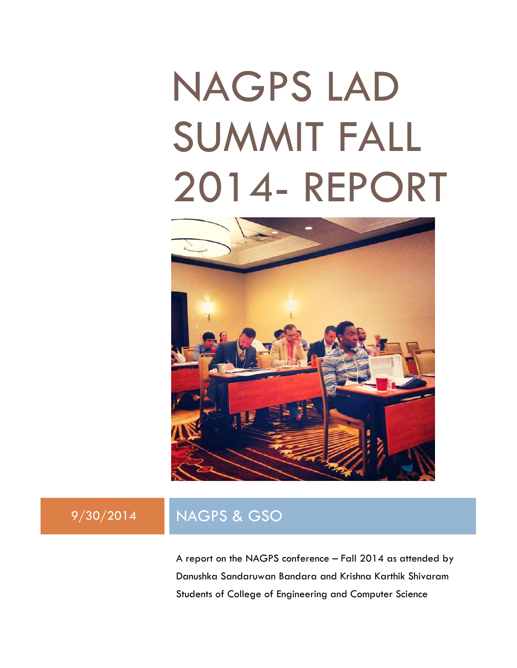# NAGPS LAD SUMMIT FALL 2014- REPORT



### 9/30/2014 NAGPS & GSO

A report on the NAGPS conference – Fall 2014 as attended by Danushka Sandaruwan Bandara and Krishna Karthik Shivaram Students of College of Engineering and Computer Science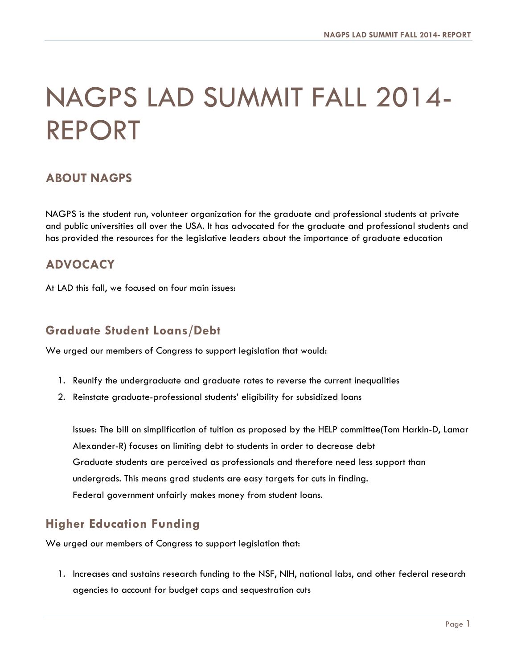## NAGPS LAD SUMMIT FALL 2014- REPORT

#### **ABOUT NAGPS**

NAGPS is the student run, volunteer organization for the graduate and professional students at private and public universities all over the USA. It has advocated for the graduate and professional students and has provided the resources for the legislative leaders about the importance of graduate education

#### **ADVOCACY**

At LAD this fall, we focused on four main issues:

#### **Graduate Student Loans/Debt**

We urged our members of Congress to support legislation that would:

- 1. Reunify the undergraduate and graduate rates to reverse the current inequalities
- 2. Reinstate graduate-professional students' eligibility for subsidized loans

Issues: The bill on simplification of tuition as proposed by the HELP committee(Tom Harkin-D, Lamar Alexander-R) focuses on limiting debt to students in order to decrease debt Graduate students are perceived as professionals and therefore need less support than undergrads. This means grad students are easy targets for cuts in finding. Federal government unfairly makes money from student loans.

#### **Higher Education Funding**

We urged our members of Congress to support legislation that:

1. Increases and sustains research funding to the NSF, NIH, national labs, and other federal research agencies to account for budget caps and sequestration cuts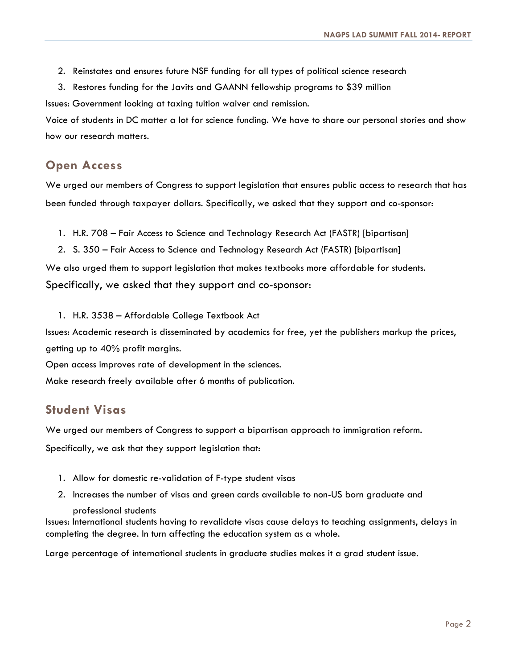- 2. Reinstates and ensures future NSF funding for all types of political science research
- 3. Restores funding for the Javits and GAANN fellowship programs to \$39 million

Issues: Government looking at taxing tuition waiver and remission.

Voice of students in DC matter a lot for science funding. We have to share our personal stories and show how our research matters.

#### **Open Access**

We urged our members of Congress to support legislation that ensures public access to research that has been funded through taxpayer dollars. Specifically, we asked that they support and co-sponsor:

- 1. H.R. 708 Fair Access to Science and Technology Research Act (FASTR) [bipartisan]
- 2. S. 350 Fair Access to Science and Technology Research Act (FASTR) [bipartisan]

We also urged them to support legislation that makes textbooks more affordable for students.

Specifically, we asked that they support and co-sponsor:

1. H.R. 3538 – Affordable College Textbook Act

Issues: Academic research is disseminated by academics for free, yet the publishers markup the prices, getting up to 40% profit margins.

Open access improves rate of development in the sciences.

Make research freely available after 6 months of publication.

#### **Student Visas**

We urged our members of Congress to support a bipartisan approach to immigration reform. Specifically, we ask that they support legislation that:

- 1. Allow for domestic re-validation of F-type student visas
- 2. Increases the number of visas and green cards available to non-US born graduate and

#### professional students

Issues: International students having to revalidate visas cause delays to teaching assignments, delays in completing the degree. In turn affecting the education system as a whole.

Large percentage of international students in graduate studies makes it a grad student issue.